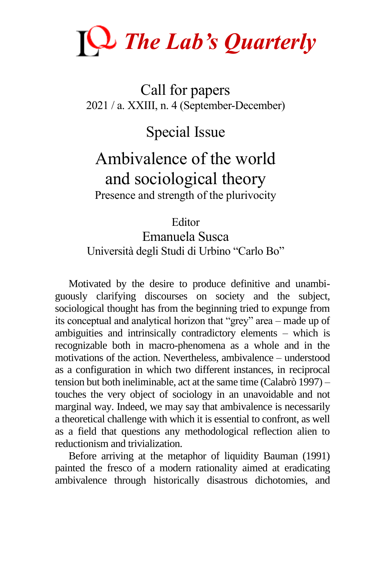

#### Call for papers 2021 / a. XXIII, n. 4 (September-December)

Special Issue

### Ambivalence of the world and sociological theory Presence and strength of the plurivocity

Editor Emanuela Susca Università degli Studi di Urbino "Carlo Bo"

Motivated by the desire to produce definitive and unambiguously clarifying discourses on society and the subject, sociological thought has from the beginning tried to expunge from its conceptual and analytical horizon that "grey" area – made up of ambiguities and intrinsically contradictory elements – which is recognizable both in macro-phenomena as a whole and in the motivations of the action. Nevertheless, ambivalence – understood as a configuration in which two different instances, in reciprocal tension but both ineliminable, act at the same time (Calabrò 1997) – touches the very object of sociology in an unavoidable and not marginal way. Indeed, we may say that ambivalence is necessarily a theoretical challenge with which it is essential to confront, as well as a field that questions any methodological reflection alien to reductionism and trivialization.

Before arriving at the metaphor of liquidity Bauman (1991) painted the fresco of a modern rationality aimed at eradicating ambivalence through historically disastrous dichotomies, and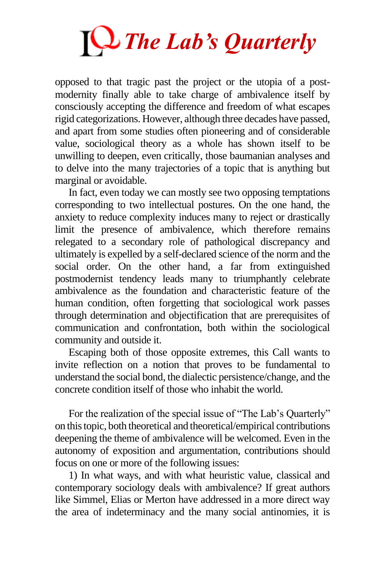

opposed to that tragic past the project or the utopia of a postmodernity finally able to take charge of ambivalence itself by consciously accepting the difference and freedom of what escapes rigid categorizations. However, although three decades have passed, and apart from some studies often pioneering and of considerable value, sociological theory as a whole has shown itself to be unwilling to deepen, even critically, those baumanian analyses and to delve into the many trajectories of a topic that is anything but marginal or avoidable.

In fact, even today we can mostly see two opposing temptations corresponding to two intellectual postures. On the one hand, the anxiety to reduce complexity induces many to reject or drastically limit the presence of ambivalence, which therefore remains relegated to a secondary role of pathological discrepancy and ultimately is expelled by a self-declared science of the norm and the social order. On the other hand, a far from extinguished postmodernist tendency leads many to triumphantly celebrate ambivalence as the foundation and characteristic feature of the human condition, often forgetting that sociological work passes through determination and objectification that are prerequisites of communication and confrontation, both within the sociological community and outside it.

Escaping both of those opposite extremes, this Call wants to invite reflection on a notion that proves to be fundamental to understand the social bond, the dialectic persistence/change, and the concrete condition itself of those who inhabit the world.

For the realization of the special issue of "The Lab's Quarterly" on this topic, both theoretical and theoretical/empirical contributions deepening the theme of ambivalence will be welcomed. Even in the autonomy of exposition and argumentation, contributions should focus on one or more of the following issues:

1) In what ways, and with what heuristic value, classical and contemporary sociology deals with ambivalence? If great authors like Simmel, Elias or Merton have addressed in a more direct way the area of indeterminacy and the many social antinomies, it is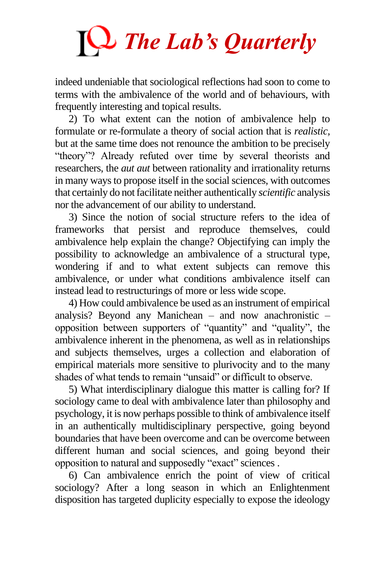# *The Lab's Quarterly*

indeed undeniable that sociological reflections had soon to come to terms with the ambivalence of the world and of behaviours, with frequently interesting and topical results.

2) To what extent can the notion of ambivalence help to formulate or re-formulate a theory of social action that is *realistic,* but at the same time does not renounce the ambition to be precisely "theory"? Already refuted over time by several theorists and researchers, the *aut aut* between rationality and irrationality returns in many ways to propose itself in the social sciences, with outcomes that certainly do not facilitate neither authentically *scientific* analysis nor the advancement of our ability to understand.

3) Since the notion of social structure refers to the idea of frameworks that persist and reproduce themselves, could ambivalence help explain the change? Objectifying can imply the possibility to acknowledge an ambivalence of a structural type, wondering if and to what extent subjects can remove this ambivalence, or under what conditions ambivalence itself can instead lead to restructurings of more or less wide scope.

4) How could ambivalence be used as an instrument of empirical analysis? Beyond any Manichean – and now anachronistic – opposition between supporters of "quantity" and "quality", the ambivalence inherent in the phenomena, as well as in relationships and subjects themselves, urges a collection and elaboration of empirical materials more sensitive to plurivocity and to the many shades of what tends to remain "unsaid" or difficult to observe.

5) What interdisciplinary dialogue this matter is calling for? If sociology came to deal with ambivalence later than philosophy and psychology, it is now perhaps possible to think of ambivalence itself in an authentically multidisciplinary perspective, going beyond boundaries that have been overcome and can be overcome between different human and social sciences, and going beyond their opposition to natural and supposedly "exact" sciences .

6) Can ambivalence enrich the point of view of critical sociology? After a long season in which an Enlightenment disposition has targeted duplicity especially to expose the ideology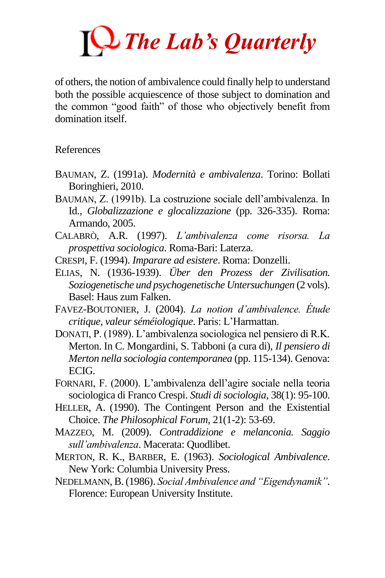# *The Lab's Quarterly*

of others, the notion of ambivalence could finally help to understand both the possible acquiescence of those subject to domination and the common "good faith" of those who objectively benefit from domination itself.

References

- BAUMAN, Z. (1991a). *Modernità e ambivalenza*. Torino: Bollati Boringhieri, 2010.
- BAUMAN, Z. (1991b). La costruzione sociale dell'ambivalenza. In Id., *Globalizzazione e glocalizzazione* (pp. 326-335). Roma: Armando, 2005.
- CALABRÒ, A.R. (1997). *L'ambivalenza come risorsa. La prospettiva sociologica*. Roma-Bari: Laterza.
- CRESPI, F. (1994). *Imparare ad esistere*. Roma: Donzelli.
- ELIAS, N. (1936-1939). *Über den Prozess der Zivilisation. Soziogenetische und psychogenetische Untersuchungen* (2 vols). Basel: Haus zum Falken.
- FAVEZ-BOUTONIER, J. (2004). *La notion d'ambivalence. Étude critique, valeur séméiologique*. Paris: L'Harmattan.
- DONATI, P. (1989). L'ambivalenza sociologica nel pensiero di R.K. Merton. In C. Mongardini, S. Tabboni (a cura di), *Il pensiero di Merton nella sociologia contemporanea* (pp. 115-134). Genova: ECIG.
- FORNARI, F. (2000). L'ambivalenza dell'agire sociale nella teoria sociologica di Franco Crespi. *Studi di sociologia*, 38(1): 95-100.
- HELLER, A. (1990). The Contingent Person and the Existential Choice. *The Philosophical Forum*, 21(1-2): 53-69.
- MAZZEO, M. (2009). *Contraddizione e melanconia. Saggio sull'ambivalenza*. Macerata: Quodlibet.
- MERTON, R. K., BARBER, E. (1963). *Sociological Ambivalence*. New York: Columbia University Press.
- NEDELMANN, B. (1986). *Social Ambivalence and "Eigendynamik"*. Florence: European University Institute.